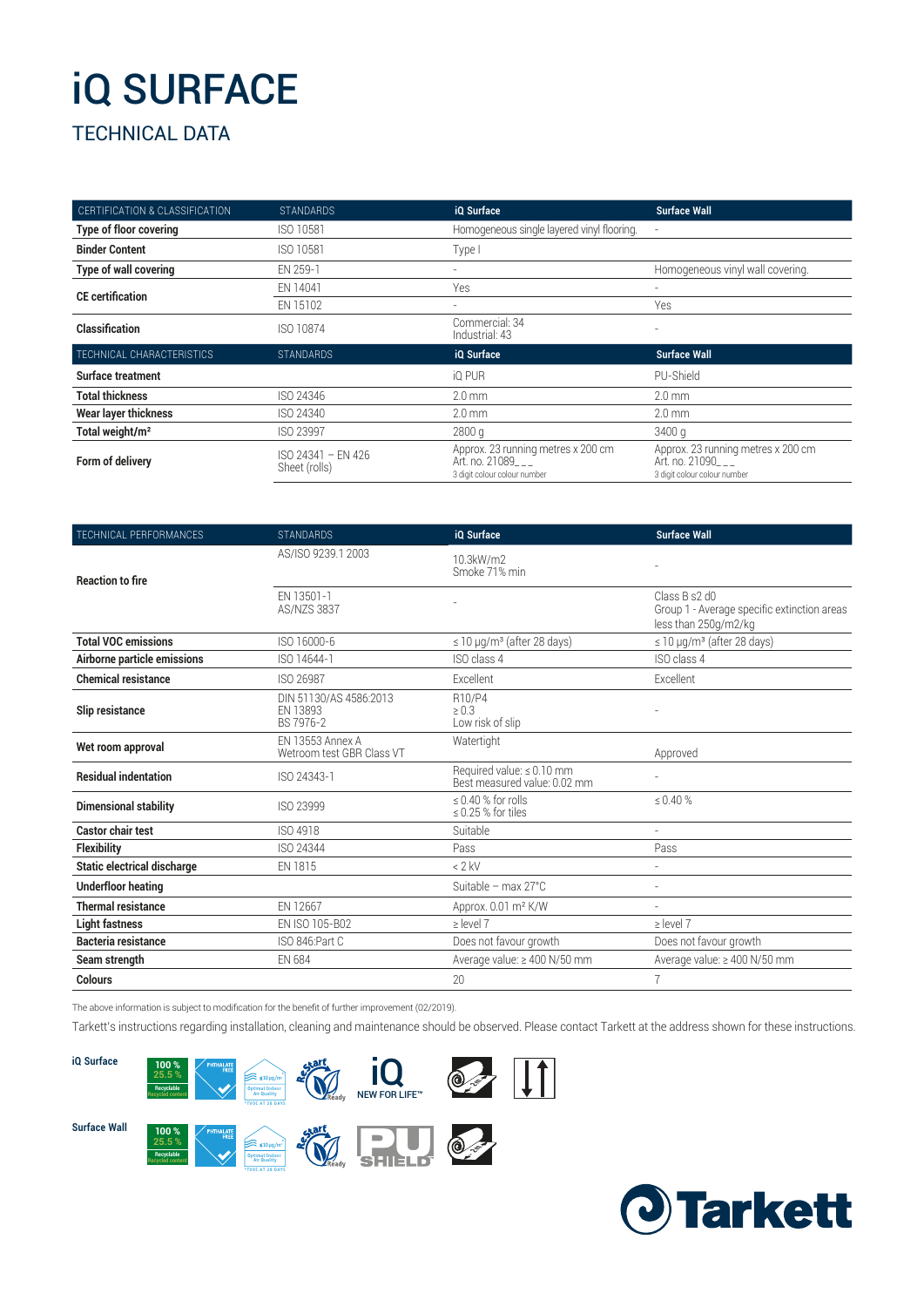## iQ SURFACE

### TECHNICAL DATA

| CERTIFICATION & CLASSIFICATION | <b>STANDARDS</b>                    | iQ Surface                                                                           | <b>Surface Wall</b>                                                                  |
|--------------------------------|-------------------------------------|--------------------------------------------------------------------------------------|--------------------------------------------------------------------------------------|
| <b>Type of floor covering</b>  | ISO 10581                           | Homogeneous single layered vinyl flooring.                                           |                                                                                      |
| <b>Binder Content</b>          | ISO 10581                           | Type I                                                                               |                                                                                      |
| <b>Type of wall covering</b>   | EN 259-1                            | ٠                                                                                    | Homogeneous vinyl wall covering.                                                     |
| <b>CE</b> certification        | EN 14041                            | Yes                                                                                  |                                                                                      |
|                                | EN 15102                            |                                                                                      | Yes                                                                                  |
| Classification                 | ISO 10874                           | Commercial: 34<br>Industrial: 43                                                     |                                                                                      |
| TECHNICAL CHARACTERISTICS      | <b>STANDARDS</b>                    | iQ Surface                                                                           | <b>Surface Wall</b>                                                                  |
| Surface treatment              |                                     | iQ PUR                                                                               | PU-Shield                                                                            |
| <b>Total thickness</b>         | ISO 24346                           | $2.0 \text{ mm}$                                                                     | $2.0 \text{ mm}$                                                                     |
| Wear layer thickness           | ISO 24340                           | $2.0 \text{ mm}$                                                                     | $2.0 \text{ mm}$                                                                     |
| Total weight/m <sup>2</sup>    | <b>ISO 23997</b>                    | 2800q                                                                                | 3400 g                                                                               |
| Form of delivery               | ISO 24341 - EN 426<br>Sheet (rolls) | Approx. 23 running metres x 200 cm<br>Art. no. 21089<br>3 digit colour colour number | Approx. 23 running metres x 200 cm<br>Art. no. 21090<br>3 digit colour colour number |

| TECHNICAL PERFORMANCES             | <b>STANDARDS</b>                                     | i0 Surface                                                | <b>Surface Wall</b>                                                                  |
|------------------------------------|------------------------------------------------------|-----------------------------------------------------------|--------------------------------------------------------------------------------------|
| <b>Reaction to fire</b>            | AS/ISO 9239.1 2003                                   | 10.3kW/m2<br>Smoke 71% min                                |                                                                                      |
|                                    | EN 13501-1<br><b>AS/NZS 3837</b>                     |                                                           | Class B s2 d0<br>Group 1 - Average specific extinction areas<br>less than 250g/m2/kg |
| <b>Total VOC emissions</b>         | ISO 16000-6                                          | $\leq$ 10 µg/m <sup>3</sup> (after 28 days)               | $\leq$ 10 µg/m <sup>3</sup> (after 28 days)                                          |
| Airborne particle emissions        | ISO 14644-1                                          | ISO class 4                                               | ISO class 4                                                                          |
| <b>Chemical resistance</b>         | ISO 26987                                            | Excellent                                                 | Excellent                                                                            |
| Slip resistance                    | DIN 51130/AS 4586:2013<br>EN 13893<br>BS 7976-2      | R10/P4<br>$\geq 0.3$<br>Low risk of slip                  |                                                                                      |
| Wet room approval                  | <b>EN 13553 Annex A</b><br>Wetroom test GBR Class VT | Watertight                                                | Approved                                                                             |
| <b>Residual indentation</b>        | ISO 24343-1                                          | Required value: ≤ 0.10 mm<br>Best measured value: 0.02 mm |                                                                                      |
| <b>Dimensional stability</b>       | ISO 23999                                            | $\leq$ 0.40 % for rolls<br>$\leq$ 0.25 % for tiles        | $\leq 0.40 \%$                                                                       |
| <b>Castor chair test</b>           | ISO 4918                                             | Suitable                                                  | ٠                                                                                    |
| <b>Flexibility</b>                 | ISO 24344                                            | Pass                                                      | Pass                                                                                 |
| <b>Static electrical discharge</b> | EN 1815                                              | $< 2$ kV                                                  |                                                                                      |
| <b>Underfloor heating</b>          |                                                      | Suitable - max 27°C                                       |                                                                                      |
| <b>Thermal resistance</b>          | EN 12667                                             | Approx. 0.01 m <sup>2</sup> K/W                           | $\sim$                                                                               |
| <b>Light fastness</b>              | EN ISO 105-B02                                       | $\ge$ level 7                                             | $\ge$ level 7                                                                        |
| Bacteria resistance                | ISO 846:Part C                                       | Does not favour growth                                    | Does not favour growth                                                               |
| Seam strength                      | <b>EN 684</b>                                        | Average value: ≥ 400 N/50 mm                              | Average value: ≥ 400 N/50 mm                                                         |
| Colours                            |                                                      | 20                                                        | 7                                                                                    |

The above information is subject to modification for the benefit of further improvement (02/2019).

Tarkett's instructions regarding installation, cleaning and maintenance should be observed. Please contact Tarkett at the address shown for these instructions.